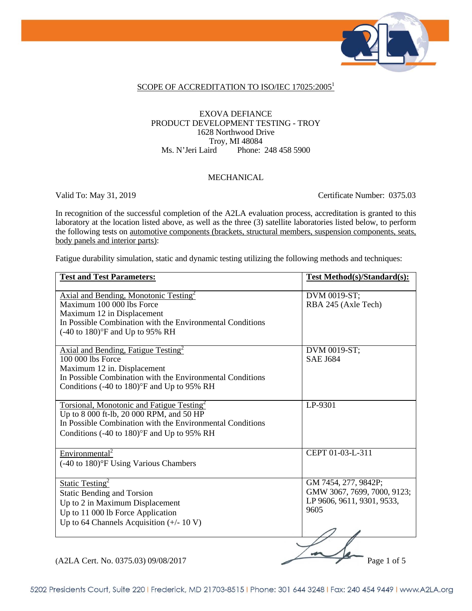

#### SCOPE OF ACCREDITATION TO ISO/IEC 17025:2005<sup>1</sup>

#### EXOVA DEFIANCE PRODUCT DEVELOPMENT TESTING - TROY 1628 Northwood Drive Troy, MI 48084<br>Ms. N'Jeri Laird Phone: Phone: 248 458 5900

#### MECHANICAL

Valid To: May 31, 2019 Certificate Number: 0375.03

In recognition of the successful completion of the A2LA evaluation process, accreditation is granted to this laboratory at the location listed above, as well as the three (3) satellite laboratories listed below, to perform the following tests on automotive components (brackets, structural members, suspension components, seats, body panels and interior parts):

Fatigue durability simulation, static and dynamic testing utilizing the following methods and techniques:

| <b>Test and Test Parameters:</b>                                                                                                                                                                                                       | <b>Test Method(s)/Standard(s):</b>                                                        |
|----------------------------------------------------------------------------------------------------------------------------------------------------------------------------------------------------------------------------------------|-------------------------------------------------------------------------------------------|
| Axial and Bending, Monotonic Testing <sup>2</sup><br>Maximum 100 000 lbs Force<br>Maximum 12 in Displacement<br>In Possible Combination with the Environmental Conditions<br>$(-40 \text{ to } 180)$ <sup>o</sup> F and Up to 95% RH   | DVM 0019-ST;<br>RBA 245 (Axle Tech)                                                       |
| Axial and Bending, Fatigue Testing <sup>2</sup><br>100 000 lbs Force<br>Maximum 12 in. Displacement<br>In Possible Combination with the Environmental Conditions<br>Conditions $(-40 \text{ to } 180)$ <sup>o</sup> F and Up to 95% RH | DVM 0019-ST;<br><b>SAE J684</b>                                                           |
| Torsional, Monotonic and Fatigue Testing <sup>2</sup><br>Up to 8 000 ft-lb, 20 000 RPM, and 50 HP<br>In Possible Combination with the Environmental Conditions<br>Conditions $(-40 \text{ to } 180)$ °F and Up to 95% RH               | LP-9301                                                                                   |
| Environmental <sup>2</sup><br>(-40 to 180)°F Using Various Chambers                                                                                                                                                                    | CEPT 01-03-L-311                                                                          |
| <b>Static Testing</b> <sup>2</sup><br><b>Static Bending and Torsion</b><br>Up to 2 in Maximum Displacement<br>Up to 11 000 lb Force Application<br>Up to 64 Channels Acquisition $(+/- 10 V)$                                          | GM 7454, 277, 9842P;<br>GMW 3067, 7699, 7000, 9123;<br>LP 9606, 9611, 9301, 9533,<br>9605 |
| (A2LA Cert. No. 0375.03) 09/08/2017                                                                                                                                                                                                    | Page 1 of 5                                                                               |

5202 Presidents Court, Suite 220 | Frederick, MD 21703-8515 | Phone: 301 644 3248 | Fax: 240 454 9449 | www.A2LA.org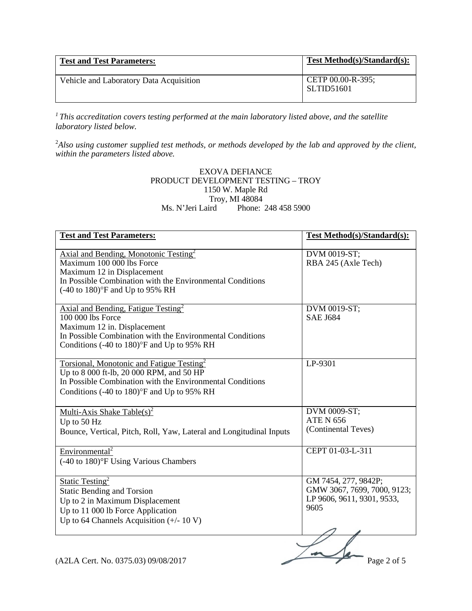| <b>Test and Test Parameters:</b>        | <b>Test Method(s)/Standard(s):</b>     |
|-----------------------------------------|----------------------------------------|
| Vehicle and Laboratory Data Acquisition | CETP 00.00-R-395;<br><b>SLTID51601</b> |

*1 This accreditation covers testing performed at the main laboratory listed above, and the satellite laboratory listed below.* 

2 *Also using customer supplied test methods, or methods developed by the lab and approved by the client, within the parameters listed above.* 

#### EXOVA DEFIANCE PRODUCT DEVELOPMENT TESTING – TROY 1150 W. Maple Rd Troy, MI 48084<br>Ms. N'Jeri Laird Phone: Phone: 248 458 5900

| <b>Test and Test Parameters:</b>                                                                      | <b>Test Method(s)/Standard(s):</b> |
|-------------------------------------------------------------------------------------------------------|------------------------------------|
|                                                                                                       |                                    |
| Axial and Bending, Monotonic Testing <sup>2</sup>                                                     | DVM 0019-ST;                       |
| Maximum 100 000 lbs Force                                                                             | RBA 245 (Axle Tech)                |
| Maximum 12 in Displacement                                                                            |                                    |
| In Possible Combination with the Environmental Conditions                                             |                                    |
| $(-40 \text{ to } 180)$ °F and Up to 95% RH                                                           |                                    |
|                                                                                                       |                                    |
| Axial and Bending, Fatigue Testing <sup>2</sup>                                                       | DVM 0019-ST;                       |
| 100 000 lbs Force                                                                                     | <b>SAE J684</b>                    |
| Maximum 12 in. Displacement                                                                           |                                    |
| In Possible Combination with the Environmental Conditions                                             |                                    |
| Conditions (-40 to 180)°F and Up to 95% RH                                                            |                                    |
|                                                                                                       |                                    |
| Torsional, Monotonic and Fatigue Testing <sup>2</sup>                                                 | LP-9301                            |
| Up to 8 000 ft-lb, 20 000 RPM, and 50 HP<br>In Possible Combination with the Environmental Conditions |                                    |
|                                                                                                       |                                    |
| Conditions (-40 to 180)°F and Up to 95% RH                                                            |                                    |
|                                                                                                       |                                    |
| Multi-Axis Shake Table(s) <sup>2</sup>                                                                | DVM 0009-ST;<br><b>ATE N 656</b>   |
| Up to 50 Hz                                                                                           | (Continental Teves)                |
| Bounce, Vertical, Pitch, Roll, Yaw, Lateral and Longitudinal Inputs                                   |                                    |
|                                                                                                       |                                    |
| Environmental <sup>2</sup>                                                                            | CEPT 01-03-L-311                   |
| (-40 to 180)°F Using Various Chambers                                                                 |                                    |
|                                                                                                       |                                    |
| Static Testing <sup>2</sup>                                                                           | GM 7454, 277, 9842P;               |
| <b>Static Bending and Torsion</b>                                                                     | GMW 3067, 7699, 7000, 9123;        |
| Up to 2 in Maximum Displacement                                                                       | LP 9606, 9611, 9301, 9533,         |
| Up to 11 000 lb Force Application                                                                     | 9605                               |
| Up to 64 Channels Acquisition $(+/- 10 V)$                                                            |                                    |
|                                                                                                       |                                    |
|                                                                                                       |                                    |
|                                                                                                       |                                    |
| (A2LA Cert. No. 0375.03) 09/08/2017                                                                   | Page 2 of 5                        |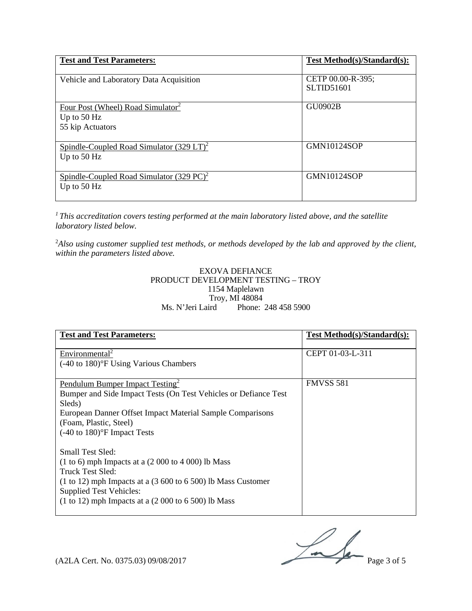| <b>Test and Test Parameters:</b>                                                   | Test Method(s)/Standard(s):            |
|------------------------------------------------------------------------------------|----------------------------------------|
| Vehicle and Laboratory Data Acquisition                                            | CETP 00.00-R-395;<br><b>SLTID51601</b> |
| Four Post (Wheel) Road Simulator <sup>2</sup><br>Up to $50$ Hz<br>55 kip Actuators | <b>GU0902B</b>                         |
| Spindle-Coupled Road Simulator $(329 \text{ LT})^2$<br>Up to $50$ Hz               | <b>GMN10124SOP</b>                     |
| Spindle-Coupled Road Simulator $(329 \text{ PC})^2$<br>Up to $50$ Hz               | <b>GMN10124SOP</b>                     |

*1 This accreditation covers testing performed at the main laboratory listed above, and the satellite laboratory listed below.* 

2 *Also using customer supplied test methods, or methods developed by the lab and approved by the client, within the parameters listed above.* 

#### EXOVA DEFIANCE PRODUCT DEVELOPMENT TESTING – TROY 1154 Maplelawn Troy, MI 48084<br>Ms. N'Jeri Laird Phone: Phone: 248 458 5900

| <b>Test and Test Parameters:</b>                                                                                                                                                                                                                                        | Test Method(s)/Standard(s): |
|-------------------------------------------------------------------------------------------------------------------------------------------------------------------------------------------------------------------------------------------------------------------------|-----------------------------|
| Environmental <sup>2</sup><br>$(-40 \text{ to } 180)$ <sup>o</sup> F Using Various Chambers                                                                                                                                                                             | CEPT 01-03-L-311            |
| Pendulum Bumper Impact Testing <sup>2</sup><br>Bumper and Side Impact Tests (On Test Vehicles or Defiance Test)<br>Sleds)<br>European Danner Offset Impact Material Sample Comparisons<br>(Foam, Plastic, Steel)<br>$(-40 \text{ to } 180)$ <sup>o</sup> F Impact Tests | <b>FMVSS 581</b>            |
| Small Test Sled:<br>$(1 to 6)$ mph Impacts at a $(2 000 to 4 000)$ lb Mass<br>Truck Test Sled:<br>$(1 to 12)$ mph Impacts at a $(3 600 to 6 500)$ lb Mass Customer<br><b>Supplied Test Vehicles:</b><br>$(1 to 12)$ mph Impacts at a $(2 000 to 6 500)$ lb Mass         |                             |

 $(A2LA \text{ Cert. No. } 0375.03) 09/08/2017$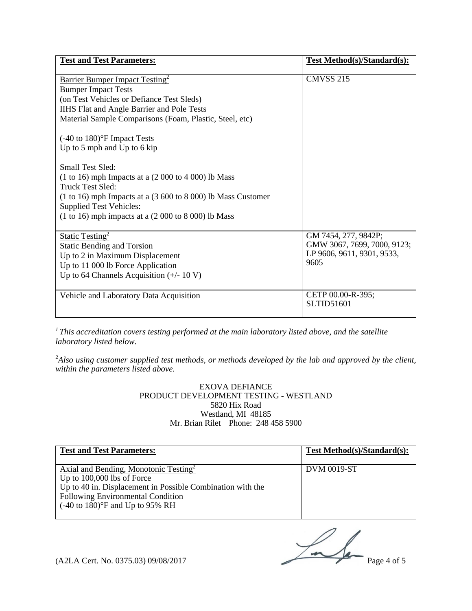| <b>Test and Test Parameters:</b>                                                                                                                                                                                                                                                                                                                                                                                                                                                                                                                                                                           | <b>Test Method(s)/Standard(s):</b>                                                        |
|------------------------------------------------------------------------------------------------------------------------------------------------------------------------------------------------------------------------------------------------------------------------------------------------------------------------------------------------------------------------------------------------------------------------------------------------------------------------------------------------------------------------------------------------------------------------------------------------------------|-------------------------------------------------------------------------------------------|
| <b>Barrier Bumper Impact Testing</b> <sup>2</sup><br><b>Bumper Impact Tests</b><br>(on Test Vehicles or Defiance Test Sleds)<br>IIHS Flat and Angle Barrier and Pole Tests<br>Material Sample Comparisons (Foam, Plastic, Steel, etc)<br>$(-40 \text{ to } 180)$ <sup>o</sup> F Impact Tests<br>Up to $5$ mph and Up to $6$ kip<br>Small Test Sled:<br>$(1 to 16)$ mph Impacts at a $(2 000 to 4 000)$ lb Mass<br><b>Truck Test Sled:</b><br>$(1 to 16)$ mph Impacts at a $(3 600 to 8 000)$ lb Mass Customer<br><b>Supplied Test Vehicles:</b><br>$(1 to 16)$ mph impacts at a $(2 000 to 8 000)$ lb Mass | <b>CMVSS 215</b>                                                                          |
| <b>Static Testing</b> <sup>2</sup><br><b>Static Bending and Torsion</b><br>Up to 2 in Maximum Displacement<br>Up to 11 000 lb Force Application<br>Up to 64 Channels Acquisition $(+/- 10 V)$                                                                                                                                                                                                                                                                                                                                                                                                              | GM 7454, 277, 9842P;<br>GMW 3067, 7699, 7000, 9123;<br>LP 9606, 9611, 9301, 9533,<br>9605 |
| Vehicle and Laboratory Data Acquisition                                                                                                                                                                                                                                                                                                                                                                                                                                                                                                                                                                    | CETP 00.00-R-395;<br><b>SLTID51601</b>                                                    |

*1 This accreditation covers testing performed at the main laboratory listed above, and the satellite laboratory listed below.* 

2 *Also using customer supplied test methods, or methods developed by the lab and approved by the client, within the parameters listed above.* 

#### EXOVA DEFIANCE PRODUCT DEVELOPMENT TESTING - WESTLAND 5820 Hix Road Westland, MI 48185 Mr. Brian Rilet Phone: 248 458 5900

| <b>Test and Test Parameters:</b>                                                                                                                                                                                                                       | <b>Test Method(s)/Standard(s):</b> |
|--------------------------------------------------------------------------------------------------------------------------------------------------------------------------------------------------------------------------------------------------------|------------------------------------|
| Axial and Bending, Monotonic Testing <sup>2</sup><br>Up to $100,000$ lbs of Force<br>Up to 40 in. Displacement in Possible Combination with the<br><b>Following Environmental Condition</b><br>$(-40 \text{ to } 180)$ <sup>o</sup> F and Up to 95% RH | <b>DVM 0019-ST</b>                 |

 $(A2LA$  Cert. No. 0375.03) 09/08/2017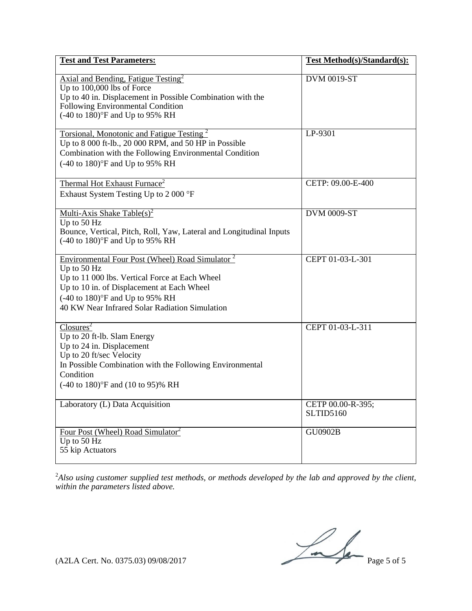| <b>Test and Test Parameters:</b>                                                                                                                                                                                                                                              | <b>Test Method</b> (s)/Standard(s): |
|-------------------------------------------------------------------------------------------------------------------------------------------------------------------------------------------------------------------------------------------------------------------------------|-------------------------------------|
| Axial and Bending, Fatigue Testing <sup>2</sup><br>Up to 100,000 lbs of Force<br>Up to 40 in. Displacement in Possible Combination with the<br>Following Environmental Condition<br>$(-40 \text{ to } 180)$ °F and Up to 95% RH                                               | DVM 0019-ST                         |
| Torsional, Monotonic and Fatigue Testing <sup>2</sup><br>Up to 8 000 ft-lb., 20 000 RPM, and 50 HP in Possible<br>Combination with the Following Environmental Condition<br>$(-40 \text{ to } 180)$ °F and Up to 95% RH                                                       | $LP-9301$                           |
| Thermal Hot Exhaust Furnace <sup>2</sup><br>Exhaust System Testing Up to 2 000 °F                                                                                                                                                                                             | CETP: 09.00-E-400                   |
| Multi-Axis Shake Table(s) <sup>2</sup><br>Up to 50 Hz<br>Bounce, Vertical, Pitch, Roll, Yaw, Lateral and Longitudinal Inputs<br>$(-40 \text{ to } 180)$ °F and Up to 95% RH                                                                                                   | <b>DVM 0009-ST</b>                  |
| Environmental Four Post (Wheel) Road Simulator <sup>2</sup><br>Up to $50$ Hz<br>Up to 11 000 lbs. Vertical Force at Each Wheel<br>Up to 10 in. of Displacement at Each Wheel<br>$(-40 \text{ to } 180)$ °F and Up to 95% RH<br>40 KW Near Infrared Solar Radiation Simulation | CEPT 01-03-L-301                    |
| $\text{Closures}^2$<br>Up to 20 ft-lb. Slam Energy<br>Up to 24 in. Displacement<br>Up to 20 ft/sec Velocity<br>In Possible Combination with the Following Environmental<br>Condition<br>$(-40 \text{ to } 180)$ °F and $(10 \text{ to } 95)$ % RH                             | CEPT 01-03-L-311                    |
| Laboratory (L) Data Acquisition                                                                                                                                                                                                                                               | CETP 00.00-R-395;<br>SLTID5160      |
| Four Post (Wheel) Road Simulator <sup>2</sup><br>Up to 50 Hz<br>55 kip Actuators                                                                                                                                                                                              | <b>GU0902B</b>                      |

2 *Also using customer supplied test methods, or methods developed by the lab and approved by the client, within the parameters listed above.* 

 $(A2LA$  Cert. No. 0375.03) 09/08/2017